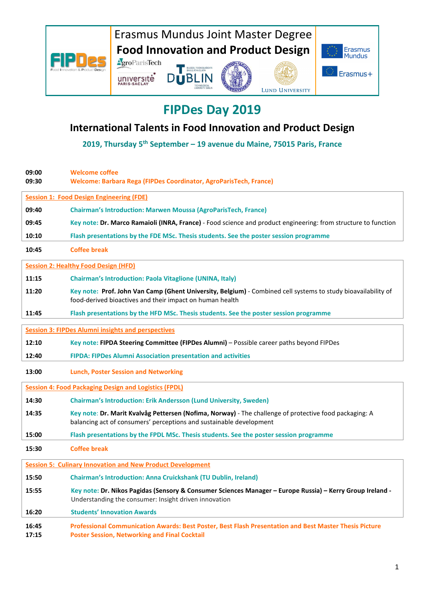

### **FIPDes Day 2019**

#### **International Talents in Food Innovation and Product Design**

**2019, Thursday 5th September – 19 avenue du Maine, 75015 Paris, France** 

| 09:00<br>09:30                                                    | <b>Welcome coffee</b><br>Welcome: Barbara Rega (FIPDes Coordinator, AgroParisTech, France)                                                                                    |  |  |
|-------------------------------------------------------------------|-------------------------------------------------------------------------------------------------------------------------------------------------------------------------------|--|--|
|                                                                   | <b>Session 1: Food Design Engineering (FDE)</b>                                                                                                                               |  |  |
| 09:40                                                             | <b>Chairman's Introduction: Marwen Moussa (AgroParisTech, France)</b>                                                                                                         |  |  |
| 09:45                                                             | Key note: Dr. Marco Ramaioli (INRA, France) - Food science and product engineering: from structure to function                                                                |  |  |
| 10:10                                                             | Flash presentations by the FDE MSc. Thesis students. See the poster session programme                                                                                         |  |  |
| 10:45                                                             | <b>Coffee break</b>                                                                                                                                                           |  |  |
| <b>Session 2: Healthy Food Design (HFD)</b>                       |                                                                                                                                                                               |  |  |
| 11:15                                                             | <b>Chairman's Introduction: Paola Vitaglione (UNINA, Italy)</b>                                                                                                               |  |  |
| 11:20                                                             | Key note: Prof. John Van Camp (Ghent University, Belgium) - Combined cell systems to study bioavailability of<br>food-derived bioactives and their impact on human health     |  |  |
| 11:45                                                             | Flash presentations by the HFD MSc. Thesis students. See the poster session programme                                                                                         |  |  |
| <b>Session 3: FIPDes Alumni insights and perspectives</b>         |                                                                                                                                                                               |  |  |
| 12:10                                                             | Key note: FIPDA Steering Committee (FIPDes Alumni) - Possible career paths beyond FIPDes                                                                                      |  |  |
| 12:40                                                             | FIPDA: FIPDes Alumni Association presentation and activities                                                                                                                  |  |  |
| 13:00                                                             | <b>Lunch, Poster Session and Networking</b>                                                                                                                                   |  |  |
| <b>Session 4: Food Packaging Design and Logistics (FPDL)</b>      |                                                                                                                                                                               |  |  |
| 14:30                                                             | <b>Chairman's Introduction: Erik Andersson (Lund University, Sweden)</b>                                                                                                      |  |  |
| 14:35                                                             | Key note: Dr. Marit Kvalvåg Pettersen (Nofima, Norway) - The challenge of protective food packaging: A<br>balancing act of consumers' perceptions and sustainable development |  |  |
| 15:00                                                             | Flash presentations by the FPDL MSc. Thesis students. See the poster session programme                                                                                        |  |  |
| 15:30                                                             | <b>Coffee break</b>                                                                                                                                                           |  |  |
| <b>Session 5: Culinary Innovation and New Product Development</b> |                                                                                                                                                                               |  |  |
| 15:50                                                             | <b>Chairman's Introduction: Anna Cruickshank (TU Dublin, Ireland)</b>                                                                                                         |  |  |
| 15:55                                                             | Key note: Dr. Nikos Pagidas (Sensory & Consumer Sciences Manager - Europe Russia) - Kerry Group Ireland -<br>Understanding the consumer: Insight driven innovation            |  |  |
| 16:20                                                             | <b>Students' Innovation Awards</b>                                                                                                                                            |  |  |
| 16:45<br>17:15                                                    | Professional Communication Awards: Best Poster, Best Flash Presentation and Best Master Thesis Picture<br><b>Poster Session, Networking and Final Cocktail</b>                |  |  |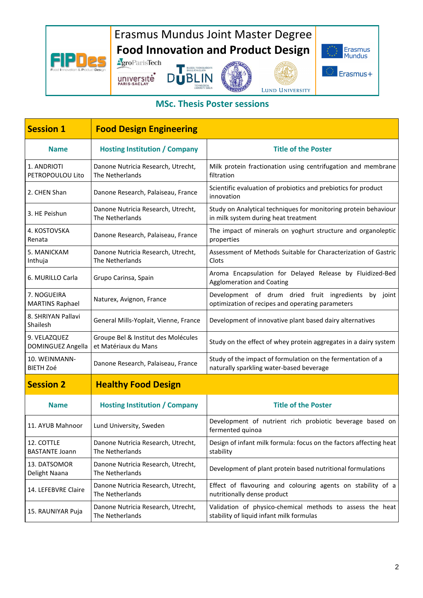## Erasmus Mundus Joint Master Degree **Food Innovation and Product Design<br>AgroParisTech**

université

FIPD<sub>29</sub>







#### **MSc. Thesis Poster sessions**

| <b>Session 1</b>                      | <b>Food Design Engineering</b>                              |                                                                                                          |
|---------------------------------------|-------------------------------------------------------------|----------------------------------------------------------------------------------------------------------|
| <b>Name</b>                           | <b>Hosting Institution / Company</b>                        | <b>Title of the Poster</b>                                                                               |
| 1. ANDRIOTI<br>PETROPOULOU Lito       | Danone Nutricia Research, Utrecht,<br>The Netherlands       | Milk protein fractionation using centrifugation and membrane<br>filtration                               |
| 2. CHEN Shan                          | Danone Research, Palaiseau, France                          | Scientific evaluation of probiotics and prebiotics for product<br>innovation                             |
| 3. HE Peishun                         | Danone Nutricia Research, Utrecht,<br>The Netherlands       | Study on Analytical techniques for monitoring protein behaviour<br>in milk system during heat treatment  |
| 4. KOSTOVSKA<br>Renata                | Danone Research, Palaiseau, France                          | The impact of minerals on yoghurt structure and organoleptic<br>properties                               |
| 5. MANICKAM<br>Inthuja                | Danone Nutricia Research, Utrecht,<br>The Netherlands       | Assessment of Methods Suitable for Characterization of Gastric<br>Clots                                  |
| 6. MURILLO Carla                      | Grupo Carinsa, Spain                                        | Aroma Encapsulation for Delayed Release by Fluidized-Bed<br><b>Agglomeration and Coating</b>             |
| 7. NOGUEIRA<br><b>MARTINS Raphael</b> | Naturex, Avignon, France                                    | Development of drum dried fruit ingredients by joint<br>optimization of recipes and operating parameters |
| 8. SHRIYAN Pallavi<br>Shailesh        | General Mills-Yoplait, Vienne, France                       | Development of innovative plant based dairy alternatives                                                 |
| 9. VELAZQUEZ<br>DOMINGUEZ Angella     | Groupe Bel & Institut des Molécules<br>et Matériaux du Mans | Study on the effect of whey protein aggregates in a dairy system                                         |
| 10. WEINMANN-<br><b>BIETH Zoé</b>     | Danone Research, Palaiseau, France                          | Study of the impact of formulation on the fermentation of a<br>naturally sparkling water-based beverage  |
| <b>Session 2</b>                      | <b>Healthy Food Design</b>                                  |                                                                                                          |
| <b>Name</b>                           | <b>Hosting Institution / Company</b>                        | <b>Title of the Poster</b>                                                                               |
| 11. AYUB Mahnoor                      | Lund University, Sweden                                     | Development of nutrient rich probiotic beverage based on<br>fermented quinoa                             |
| 12. COTTLE<br><b>BASTANTE Joann</b>   | Danone Nutricia Research, Utrecht,<br>The Netherlands       | Design of infant milk formula: focus on the factors affecting heat<br>stability                          |
| 13. DATSOMOR<br>Delight Naana         | Danone Nutricia Research, Utrecht,<br>The Netherlands       | Development of plant protein based nutritional formulations                                              |
| 14. LEFEBVRE Claire                   | Danone Nutricia Research, Utrecht,<br>The Netherlands       | Effect of flavouring and colouring agents on stability of a<br>nutritionally dense product               |
| 15. RAUNIYAR Puja                     | Danone Nutricia Research, Utrecht,<br>The Netherlands       | Validation of physico-chemical methods to assess the heat<br>stability of liquid infant milk formulas    |